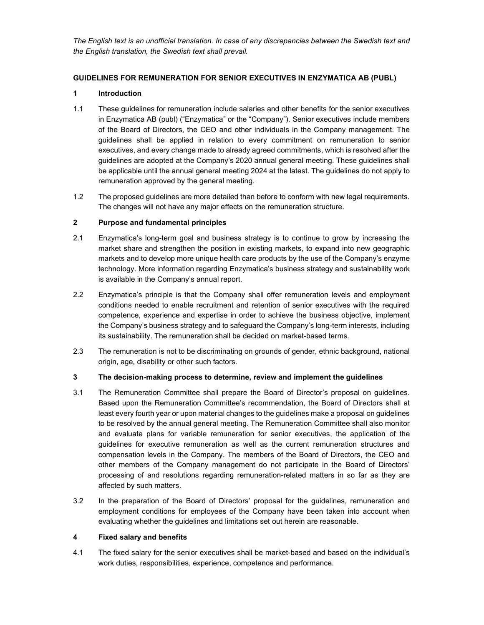The English text is an unofficial translation. In case of any discrepancies between the Swedish text and the English translation, the Swedish text shall prevail.

# GUIDELINES FOR REMUNERATION FOR SENIOR EXECUTIVES IN ENZYMATICA AB (PUBL)

# 1 Introduction

- 1.1 These guidelines for remuneration include salaries and other benefits for the senior executives in Enzymatica AB (publ) ("Enzymatica" or the "Company"). Senior executives include members of the Board of Directors, the CEO and other individuals in the Company management. The guidelines shall be applied in relation to every commitment on remuneration to senior executives, and every change made to already agreed commitments, which is resolved after the guidelines are adopted at the Company's 2020 annual general meeting. These guidelines shall be applicable until the annual general meeting 2024 at the latest. The guidelines do not apply to remuneration approved by the general meeting.
- 1.2 The proposed guidelines are more detailed than before to conform with new legal requirements. The changes will not have any major effects on the remuneration structure.

# 2 Purpose and fundamental principles

- 2.1 Enzymatica's long-term goal and business strategy is to continue to grow by increasing the market share and strengthen the position in existing markets, to expand into new geographic markets and to develop more unique health care products by the use of the Company's enzyme technology. More information regarding Enzymatica's business strategy and sustainability work is available in the Company's annual report.
- 2.2 Enzymatica's principle is that the Company shall offer remuneration levels and employment conditions needed to enable recruitment and retention of senior executives with the required competence, experience and expertise in order to achieve the business objective, implement the Company's business strategy and to safeguard the Company's long-term interests, including its sustainability. The remuneration shall be decided on market-based terms.
- 2.3 The remuneration is not to be discriminating on grounds of gender, ethnic background, national origin, age, disability or other such factors.

## 3 The decision-making process to determine, review and implement the guidelines

- 3.1 The Remuneration Committee shall prepare the Board of Director's proposal on guidelines. Based upon the Remuneration Committee's recommendation, the Board of Directors shall at least every fourth year or upon material changes to the guidelines make a proposal on guidelines to be resolved by the annual general meeting. The Remuneration Committee shall also monitor and evaluate plans for variable remuneration for senior executives, the application of the guidelines for executive remuneration as well as the current remuneration structures and compensation levels in the Company. The members of the Board of Directors, the CEO and other members of the Company management do not participate in the Board of Directors' processing of and resolutions regarding remuneration-related matters in so far as they are affected by such matters.
- 3.2 In the preparation of the Board of Directors' proposal for the guidelines, remuneration and employment conditions for employees of the Company have been taken into account when evaluating whether the guidelines and limitations set out herein are reasonable.

## 4 Fixed salary and benefits

4.1 The fixed salary for the senior executives shall be market-based and based on the individual's work duties, responsibilities, experience, competence and performance.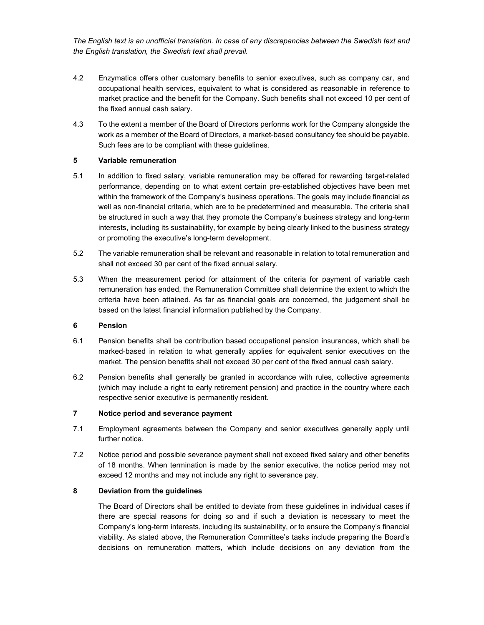The English text is an unofficial translation. In case of any discrepancies between the Swedish text and the English translation, the Swedish text shall prevail.

- 4.2 Enzymatica offers other customary benefits to senior executives, such as company car, and occupational health services, equivalent to what is considered as reasonable in reference to market practice and the benefit for the Company. Such benefits shall not exceed 10 per cent of the fixed annual cash salary.
- 4.3 To the extent a member of the Board of Directors performs work for the Company alongside the work as a member of the Board of Directors, a market-based consultancy fee should be payable. Such fees are to be compliant with these guidelines.

#### 5 Variable remuneration

- 5.1 In addition to fixed salary, variable remuneration may be offered for rewarding target-related performance, depending on to what extent certain pre-established objectives have been met within the framework of the Company's business operations. The goals may include financial as well as non-financial criteria, which are to be predetermined and measurable. The criteria shall be structured in such a way that they promote the Company's business strategy and long-term interests, including its sustainability, for example by being clearly linked to the business strategy or promoting the executive's long-term development.
- 5.2 The variable remuneration shall be relevant and reasonable in relation to total remuneration and shall not exceed 30 per cent of the fixed annual salary.
- 5.3 When the measurement period for attainment of the criteria for payment of variable cash remuneration has ended, the Remuneration Committee shall determine the extent to which the criteria have been attained. As far as financial goals are concerned, the judgement shall be based on the latest financial information published by the Company.

#### 6 Pension

- 6.1 Pension benefits shall be contribution based occupational pension insurances, which shall be marked-based in relation to what generally applies for equivalent senior executives on the market. The pension benefits shall not exceed 30 per cent of the fixed annual cash salary.
- 6.2 Pension benefits shall generally be granted in accordance with rules, collective agreements (which may include a right to early retirement pension) and practice in the country where each respective senior executive is permanently resident.

#### 7 Notice period and severance payment

- 7.1 Employment agreements between the Company and senior executives generally apply until further notice.
- 7.2 Notice period and possible severance payment shall not exceed fixed salary and other benefits of 18 months. When termination is made by the senior executive, the notice period may not exceed 12 months and may not include any right to severance pay.

# 8 Deviation from the guidelines

The Board of Directors shall be entitled to deviate from these guidelines in individual cases if there are special reasons for doing so and if such a deviation is necessary to meet the Company's long-term interests, including its sustainability, or to ensure the Company's financial viability. As stated above, the Remuneration Committee's tasks include preparing the Board's decisions on remuneration matters, which include decisions on any deviation from the